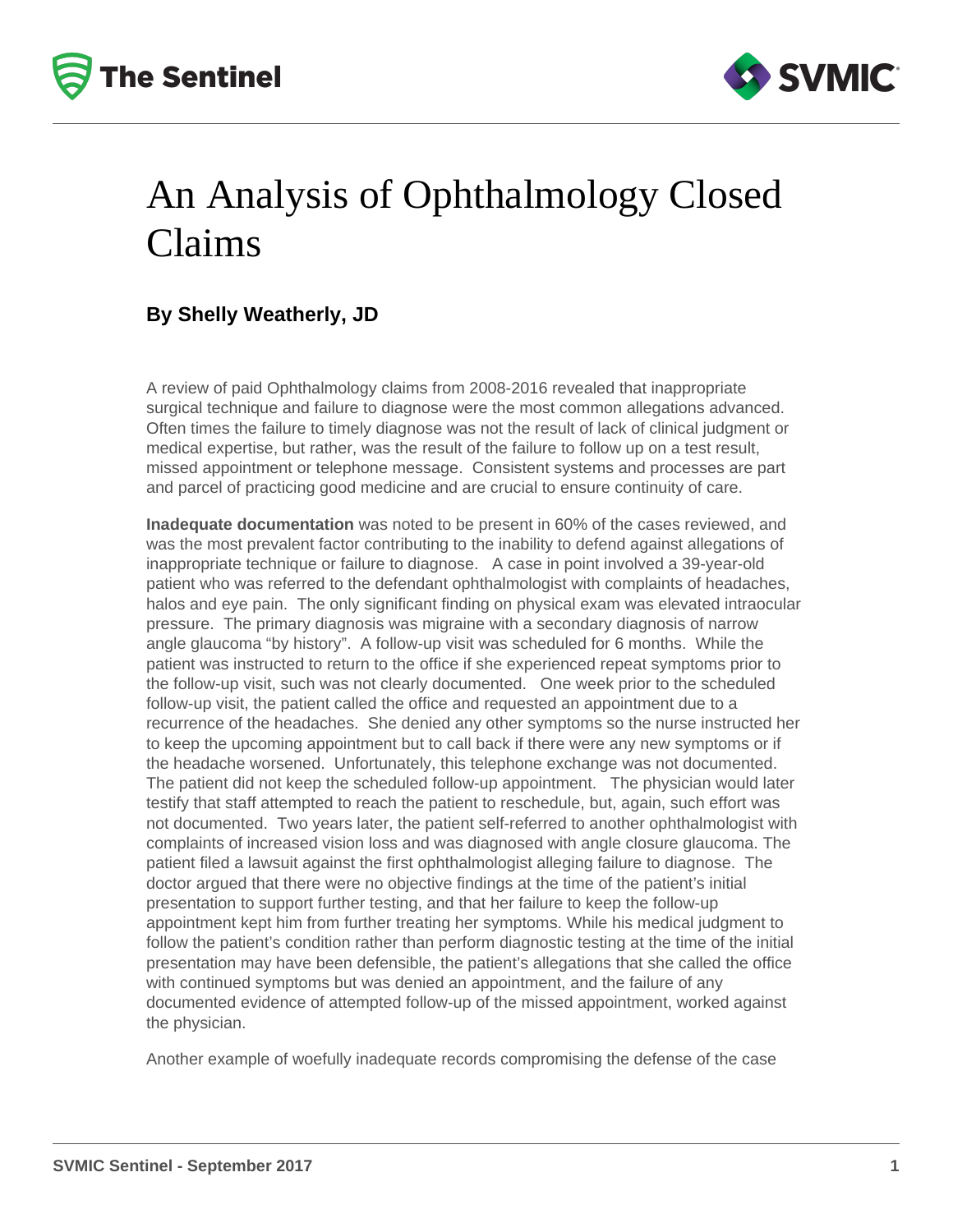



### An Analysis of Ophthalmology Closed Claims

### **By Shelly Weatherly, JD**

A review of paid Ophthalmology claims from 2008-2016 revealed that inappropriate surgical technique and failure to diagnose were the most common allegations advanced. Often times the failure to timely diagnose was not the result of lack of clinical judgment or medical expertise, but rather, was the result of the failure to follow up on a test result, missed appointment or telephone message. Consistent systems and processes are part and parcel of practicing good medicine and are crucial to ensure continuity of care.

**Inadequate documentation** was noted to be present in 60% of the cases reviewed, and was the most prevalent factor contributing to the inability to defend against allegations of inappropriate technique or failure to diagnose. A case in point involved a 39-year-old patient who was referred to the defendant ophthalmologist with complaints of headaches, halos and eye pain. The only significant finding on physical exam was elevated intraocular pressure. The primary diagnosis was migraine with a secondary diagnosis of narrow angle glaucoma "by history". A follow-up visit was scheduled for 6 months. While the patient was instructed to return to the office if she experienced repeat symptoms prior to the follow-up visit, such was not clearly documented. One week prior to the scheduled follow-up visit, the patient called the office and requested an appointment due to a recurrence of the headaches. She denied any other symptoms so the nurse instructed her to keep the upcoming appointment but to call back if there were any new symptoms or if the headache worsened. Unfortunately, this telephone exchange was not documented. The patient did not keep the scheduled follow-up appointment. The physician would later testify that staff attempted to reach the patient to reschedule, but, again, such effort was not documented. Two years later, the patient self-referred to another ophthalmologist with complaints of increased vision loss and was diagnosed with angle closure glaucoma. The patient filed a lawsuit against the first ophthalmologist alleging failure to diagnose. The doctor argued that there were no objective findings at the time of the patient's initial presentation to support further testing, and that her failure to keep the follow-up appointment kept him from further treating her symptoms. While his medical judgment to follow the patient's condition rather than perform diagnostic testing at the time of the initial presentation may have been defensible, the patient's allegations that she called the office with continued symptoms but was denied an appointment, and the failure of any documented evidence of attempted follow-up of the missed appointment, worked against the physician.

Another example of woefully inadequate records compromising the defense of the case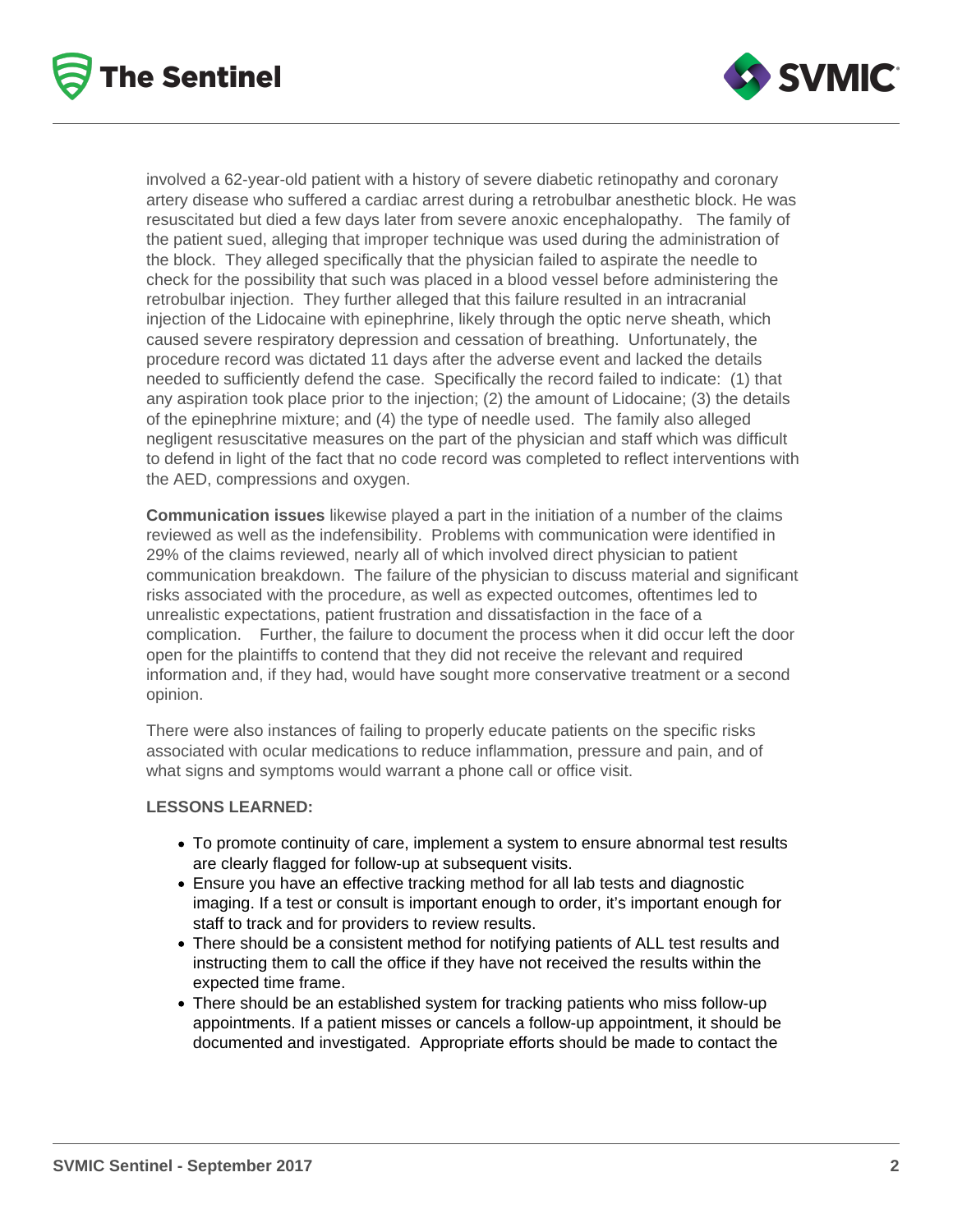



involved a 62-year-old patient with a history of severe diabetic retinopathy and coronary artery disease who suffered a cardiac arrest during a retrobulbar anesthetic block. He was resuscitated but died a few days later from severe anoxic encephalopathy. The family of the patient sued, alleging that improper technique was used during the administration of the block. They alleged specifically that the physician failed to aspirate the needle to check for the possibility that such was placed in a blood vessel before administering the retrobulbar injection. They further alleged that this failure resulted in an intracranial injection of the Lidocaine with epinephrine, likely through the optic nerve sheath, which caused severe respiratory depression and cessation of breathing. Unfortunately, the procedure record was dictated 11 days after the adverse event and lacked the details needed to sufficiently defend the case. Specifically the record failed to indicate: (1) that any aspiration took place prior to the injection; (2) the amount of Lidocaine; (3) the details of the epinephrine mixture; and (4) the type of needle used. The family also alleged negligent resuscitative measures on the part of the physician and staff which was difficult to defend in light of the fact that no code record was completed to reflect interventions with the AED, compressions and oxygen.

**Communication issues** likewise played a part in the initiation of a number of the claims reviewed as well as the indefensibility. Problems with communication were identified in 29% of the claims reviewed, nearly all of which involved direct physician to patient communication breakdown. The failure of the physician to discuss material and significant risks associated with the procedure, as well as expected outcomes, oftentimes led to unrealistic expectations, patient frustration and dissatisfaction in the face of a complication. Further, the failure to document the process when it did occur left the door open for the plaintiffs to contend that they did not receive the relevant and required information and, if they had, would have sought more conservative treatment or a second opinion.

There were also instances of failing to properly educate patients on the specific risks associated with ocular medications to reduce inflammation, pressure and pain, and of what signs and symptoms would warrant a phone call or office visit.

#### **LESSONS LEARNED:**

- To promote continuity of care, implement a system to ensure abnormal test results are clearly flagged for follow-up at subsequent visits.
- Ensure you have an effective tracking method for all lab tests and diagnostic imaging. If a test or consult is important enough to order, it's important enough for staff to track and for providers to review results.
- There should be a consistent method for notifying patients of ALL test results and instructing them to call the office if they have not received the results within the expected time frame.
- There should be an established system for tracking patients who miss follow-up appointments. If a patient misses or cancels a follow-up appointment, it should be documented and investigated. Appropriate efforts should be made to contact the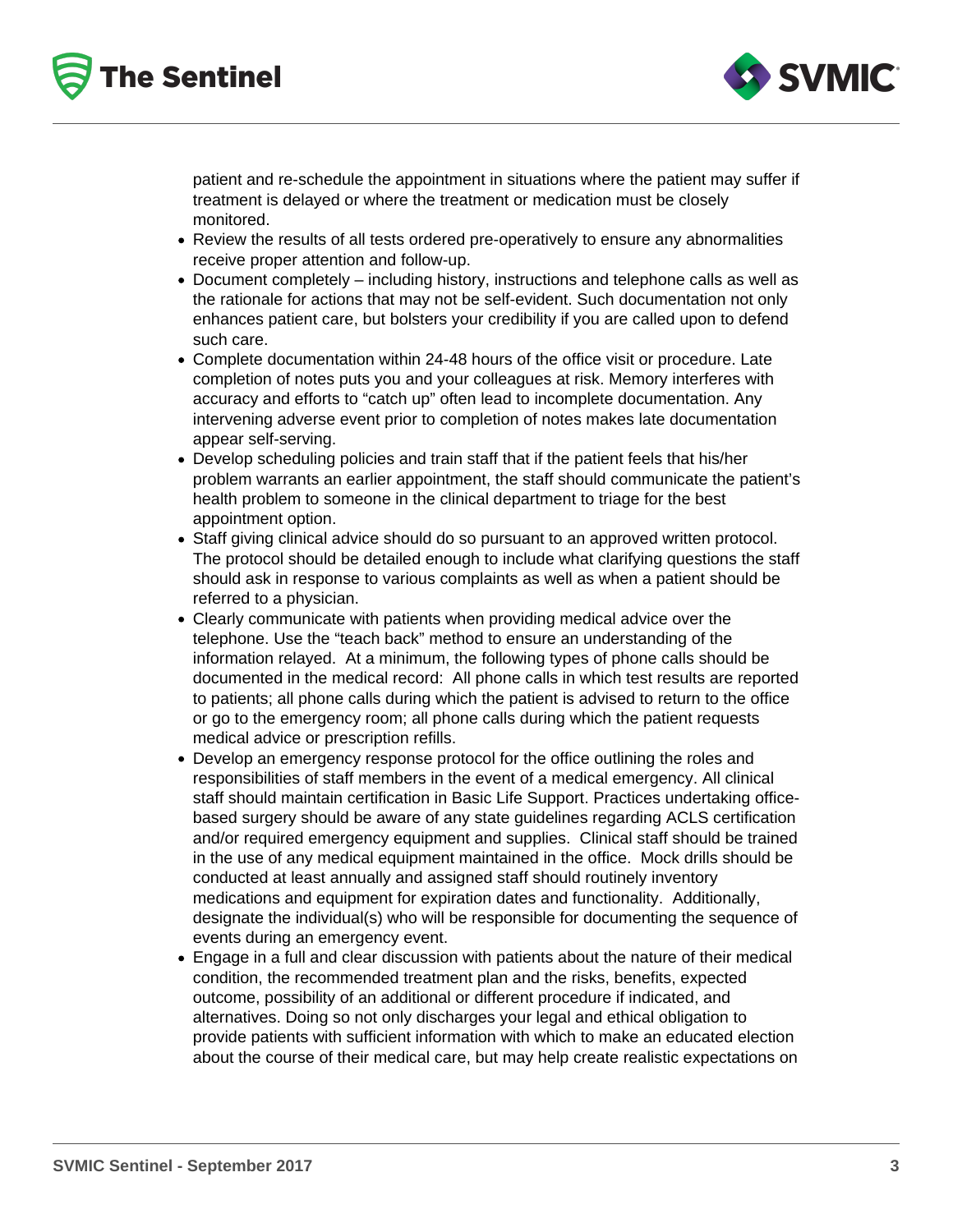



patient and re-schedule the appointment in situations where the patient may suffer if treatment is delayed or where the treatment or medication must be closely monitored.

- Review the results of all tests ordered pre-operatively to ensure any abnormalities receive proper attention and follow-up.
- Document completely including history, instructions and telephone calls as well as the rationale for actions that may not be self-evident. Such documentation not only enhances patient care, but bolsters your credibility if you are called upon to defend such care.
- Complete documentation within 24-48 hours of the office visit or procedure. Late completion of notes puts you and your colleagues at risk. Memory interferes with accuracy and efforts to "catch up" often lead to incomplete documentation. Any intervening adverse event prior to completion of notes makes late documentation appear self-serving.
- Develop scheduling policies and train staff that if the patient feels that his/her problem warrants an earlier appointment, the staff should communicate the patient's health problem to someone in the clinical department to triage for the best appointment option.
- Staff giving clinical advice should do so pursuant to an approved written protocol. The protocol should be detailed enough to include what clarifying questions the staff should ask in response to various complaints as well as when a patient should be referred to a physician.
- Clearly communicate with patients when providing medical advice over the telephone. Use the "teach back" method to ensure an understanding of the information relayed. At a minimum, the following types of phone calls should be documented in the medical record: All phone calls in which test results are reported to patients; all phone calls during which the patient is advised to return to the office or go to the emergency room; all phone calls during which the patient requests medical advice or prescription refills.
- Develop an emergency response protocol for the office outlining the roles and responsibilities of staff members in the event of a medical emergency. All clinical staff should maintain certification in Basic Life Support. Practices undertaking officebased surgery should be aware of any state guidelines regarding ACLS certification and/or required emergency equipment and supplies. Clinical staff should be trained in the use of any medical equipment maintained in the office. Mock drills should be conducted at least annually and assigned staff should routinely inventory medications and equipment for expiration dates and functionality. Additionally, designate the individual(s) who will be responsible for documenting the sequence of events during an emergency event.
- Engage in a full and clear discussion with patients about the nature of their medical condition, the recommended treatment plan and the risks, benefits, expected outcome, possibility of an additional or different procedure if indicated, and alternatives. Doing so not only discharges your legal and ethical obligation to provide patients with sufficient information with which to make an educated election about the course of their medical care, but may help create realistic expectations on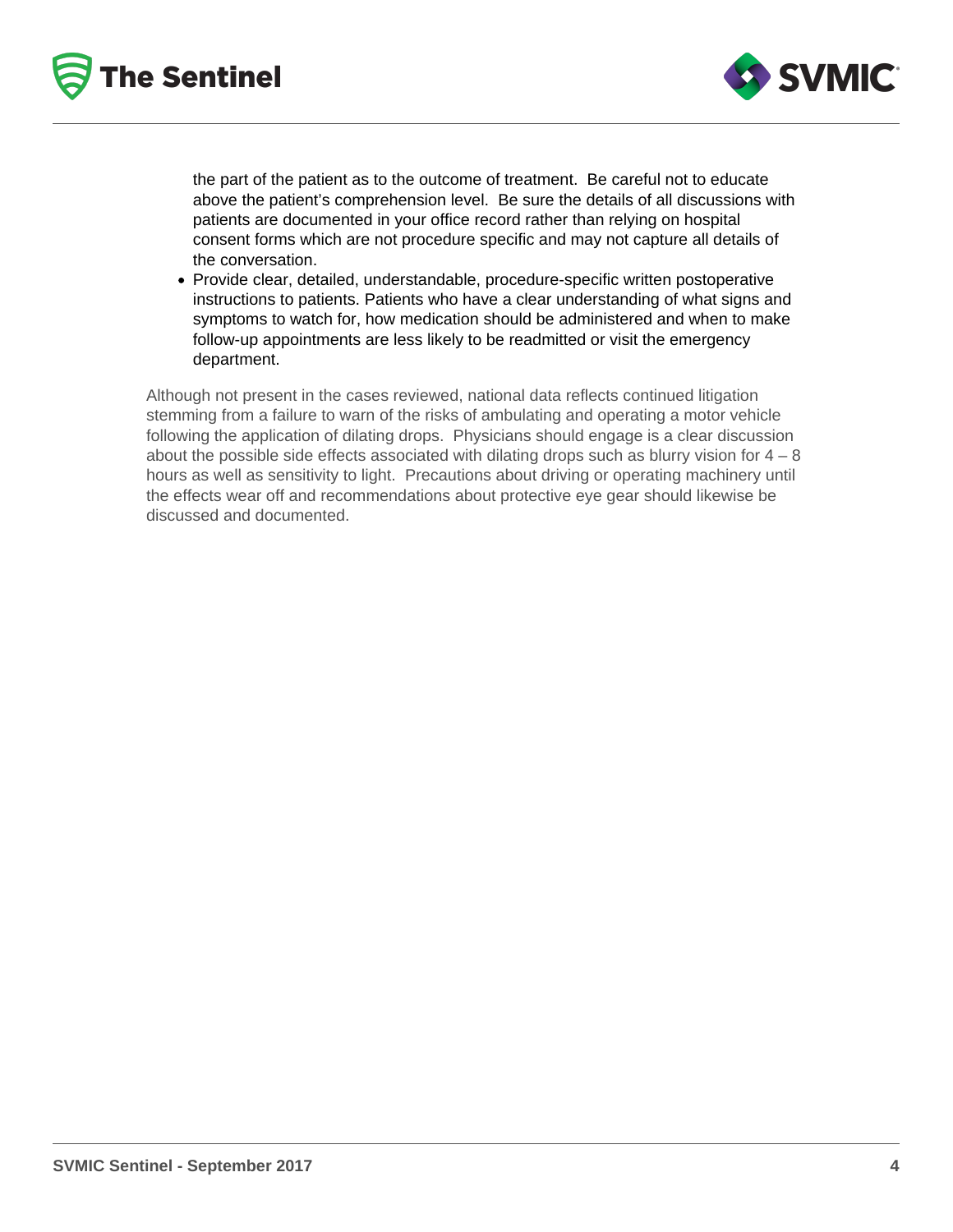



the part of the patient as to the outcome of treatment. Be careful not to educate above the patient's comprehension level. Be sure the details of all discussions with patients are documented in your office record rather than relying on hospital consent forms which are not procedure specific and may not capture all details of the conversation.

Provide clear, detailed, understandable, procedure-specific written postoperative instructions to patients. Patients who have a clear understanding of what signs and symptoms to watch for, how medication should be administered and when to make follow-up appointments are less likely to be readmitted or visit the emergency department.

Although not present in the cases reviewed, national data reflects continued litigation stemming from a failure to warn of the risks of ambulating and operating a motor vehicle following the application of dilating drops. Physicians should engage is a clear discussion about the possible side effects associated with dilating drops such as blurry vision for  $4 - 8$ hours as well as sensitivity to light. Precautions about driving or operating machinery until the effects wear off and recommendations about protective eye gear should likewise be discussed and documented.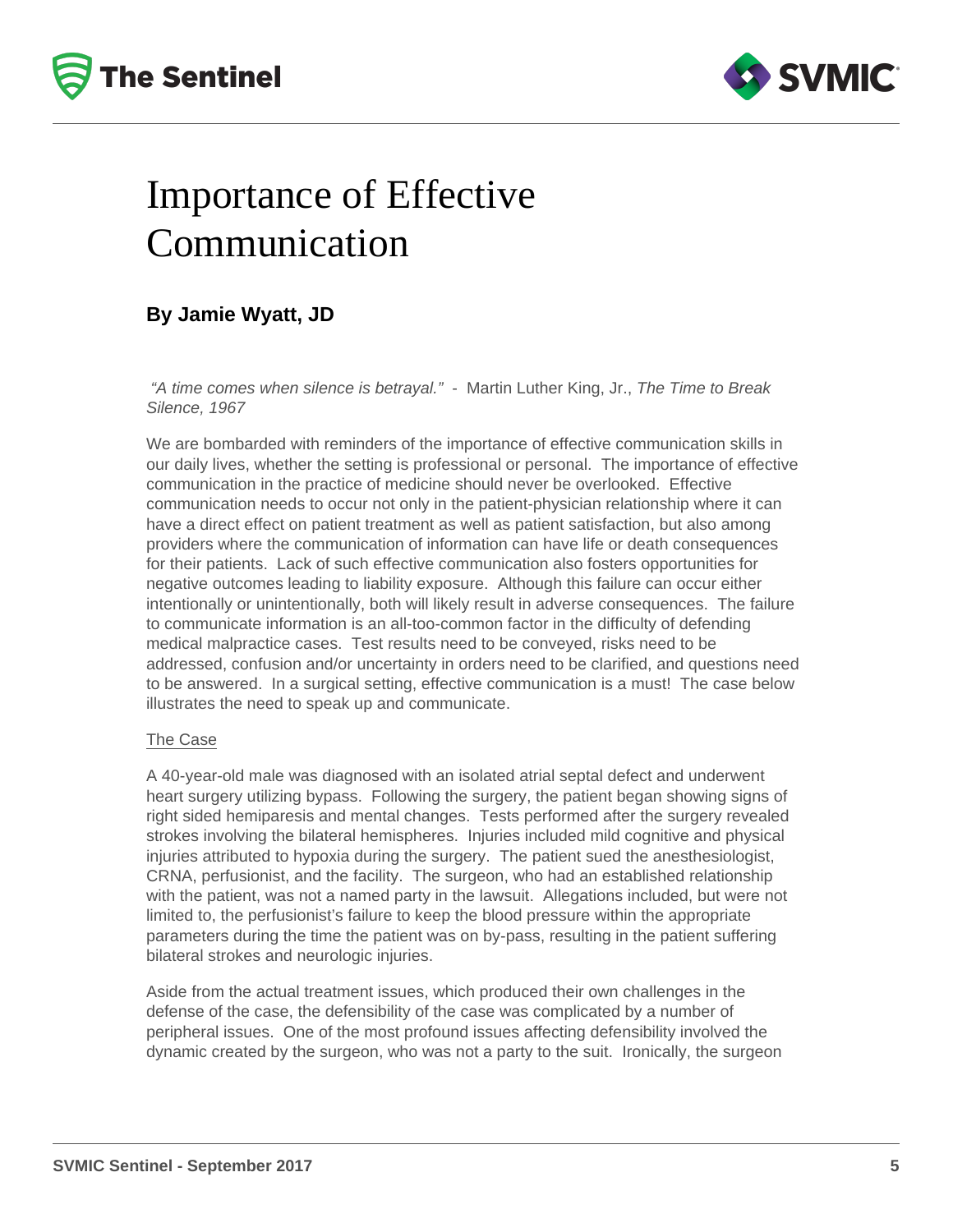



# Importance of Effective Communication

### **By Jamie Wyatt, JD**

"A time comes when silence is betrayal." - Martin Luther King, Jr., The Time to Break Silence, 1967

We are bombarded with reminders of the importance of effective communication skills in our daily lives, whether the setting is professional or personal. The importance of effective communication in the practice of medicine should never be overlooked. Effective communication needs to occur not only in the patient-physician relationship where it can have a direct effect on patient treatment as well as patient satisfaction, but also among providers where the communication of information can have life or death consequences for their patients. Lack of such effective communication also fosters opportunities for negative outcomes leading to liability exposure. Although this failure can occur either intentionally or unintentionally, both will likely result in adverse consequences. The failure to communicate information is an all-too-common factor in the difficulty of defending medical malpractice cases. Test results need to be conveyed, risks need to be addressed, confusion and/or uncertainty in orders need to be clarified, and questions need to be answered. In a surgical setting, effective communication is a must! The case below illustrates the need to speak up and communicate.

#### The Case

A 40-year-old male was diagnosed with an isolated atrial septal defect and underwent heart surgery utilizing bypass. Following the surgery, the patient began showing signs of right sided hemiparesis and mental changes. Tests performed after the surgery revealed strokes involving the bilateral hemispheres. Injuries included mild cognitive and physical injuries attributed to hypoxia during the surgery. The patient sued the anesthesiologist, CRNA, perfusionist, and the facility. The surgeon, who had an established relationship with the patient, was not a named party in the lawsuit. Allegations included, but were not limited to, the perfusionist's failure to keep the blood pressure within the appropriate parameters during the time the patient was on by-pass, resulting in the patient suffering bilateral strokes and neurologic injuries.

Aside from the actual treatment issues, which produced their own challenges in the defense of the case, the defensibility of the case was complicated by a number of peripheral issues. One of the most profound issues affecting defensibility involved the dynamic created by the surgeon, who was not a party to the suit. Ironically, the surgeon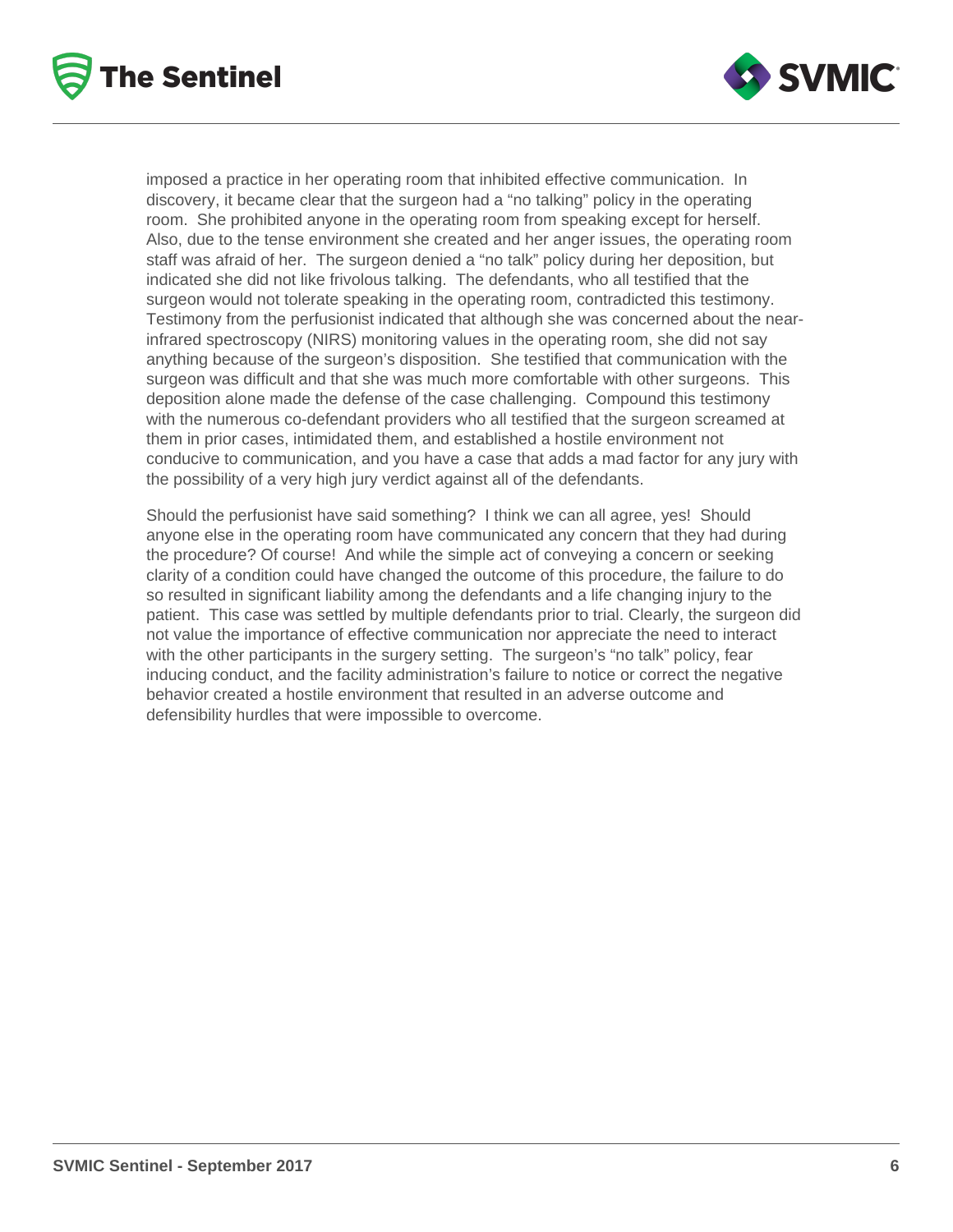



imposed a practice in her operating room that inhibited effective communication. In discovery, it became clear that the surgeon had a "no talking" policy in the operating room. She prohibited anyone in the operating room from speaking except for herself. Also, due to the tense environment she created and her anger issues, the operating room staff was afraid of her. The surgeon denied a "no talk" policy during her deposition, but indicated she did not like frivolous talking. The defendants, who all testified that the surgeon would not tolerate speaking in the operating room, contradicted this testimony. Testimony from the perfusionist indicated that although she was concerned about the nearinfrared spectroscopy (NIRS) monitoring values in the operating room, she did not say anything because of the surgeon's disposition. She testified that communication with the surgeon was difficult and that she was much more comfortable with other surgeons. This deposition alone made the defense of the case challenging. Compound this testimony with the numerous co-defendant providers who all testified that the surgeon screamed at them in prior cases, intimidated them, and established a hostile environment not conducive to communication, and you have a case that adds a mad factor for any jury with the possibility of a very high jury verdict against all of the defendants.

Should the perfusionist have said something? I think we can all agree, yes! Should anyone else in the operating room have communicated any concern that they had during the procedure? Of course! And while the simple act of conveying a concern or seeking clarity of a condition could have changed the outcome of this procedure, the failure to do so resulted in significant liability among the defendants and a life changing injury to the patient. This case was settled by multiple defendants prior to trial. Clearly, the surgeon did not value the importance of effective communication nor appreciate the need to interact with the other participants in the surgery setting. The surgeon's "no talk" policy, fear inducing conduct, and the facility administration's failure to notice or correct the negative behavior created a hostile environment that resulted in an adverse outcome and defensibility hurdles that were impossible to overcome.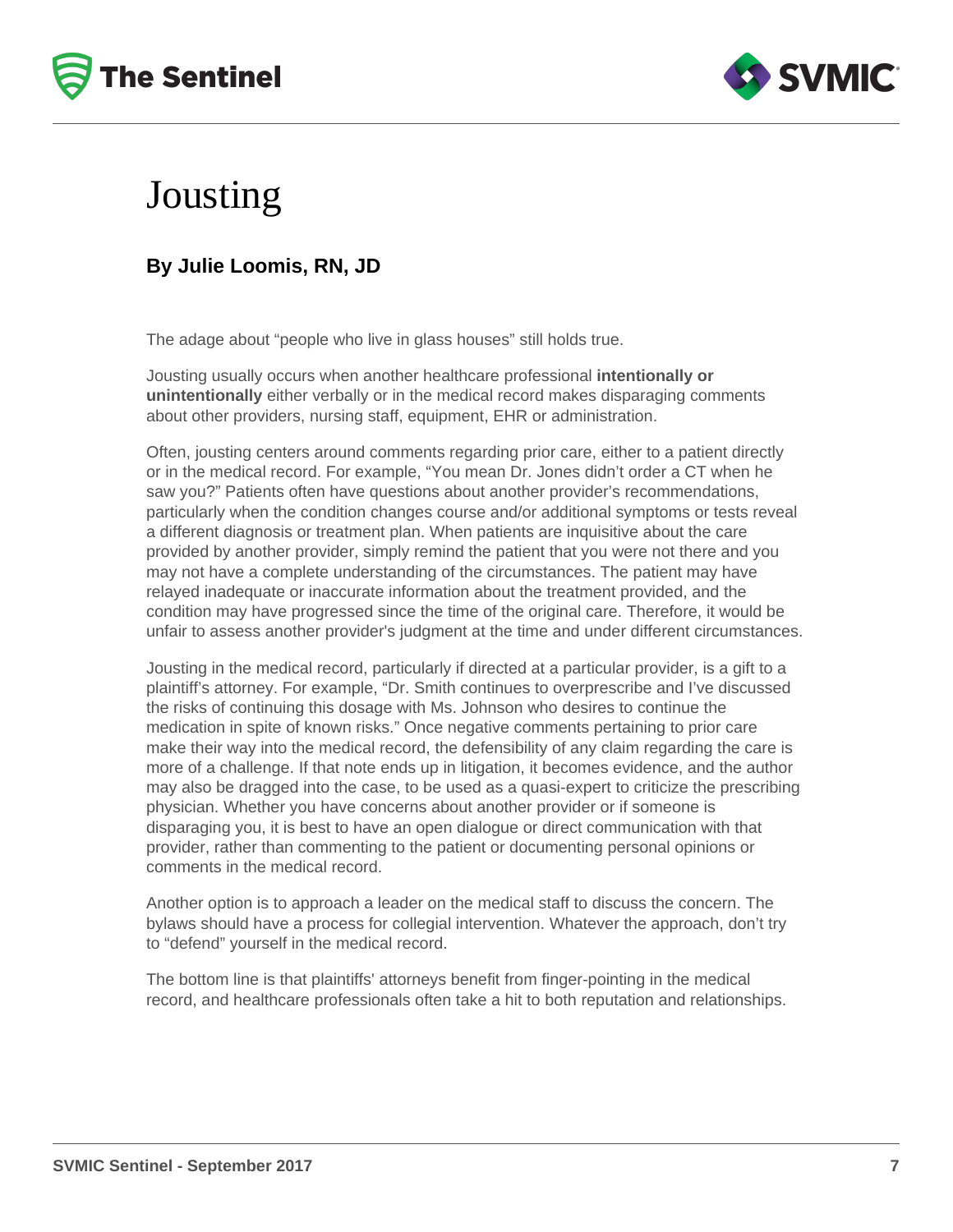



### Jousting

### **By Julie Loomis, RN, JD**

The adage about "people who live in glass houses" still holds true.

Jousting usually occurs when another healthcare professional **intentionally or unintentionally** either verbally or in the medical record makes disparaging comments about other providers, nursing staff, equipment, EHR or administration.

Often, jousting centers around comments regarding prior care, either to a patient directly or in the medical record. For example, "You mean Dr. Jones didn't order a CT when he saw you?" Patients often have questions about another provider's recommendations, particularly when the condition changes course and/or additional symptoms or tests reveal a different diagnosis or treatment plan. When patients are inquisitive about the care provided by another provider, simply remind the patient that you were not there and you may not have a complete understanding of the circumstances. The patient may have relayed inadequate or inaccurate information about the treatment provided, and the condition may have progressed since the time of the original care. Therefore, it would be unfair to assess another provider's judgment at the time and under different circumstances.

Jousting in the medical record, particularly if directed at a particular provider, is a gift to a plaintiff's attorney. For example, "Dr. Smith continues to overprescribe and I've discussed the risks of continuing this dosage with Ms. Johnson who desires to continue the medication in spite of known risks." Once negative comments pertaining to prior care make their way into the medical record, the defensibility of any claim regarding the care is more of a challenge. If that note ends up in litigation, it becomes evidence, and the author may also be dragged into the case, to be used as a quasi-expert to criticize the prescribing physician. Whether you have concerns about another provider or if someone is disparaging you, it is best to have an open dialogue or direct communication with that provider, rather than commenting to the patient or documenting personal opinions or comments in the medical record.

Another option is to approach a leader on the medical staff to discuss the concern. The bylaws should have a process for collegial intervention. Whatever the approach, don't try to "defend" yourself in the medical record.

The bottom line is that plaintiffs' attorneys benefit from finger-pointing in the medical record, and healthcare professionals often take a hit to both reputation and relationships.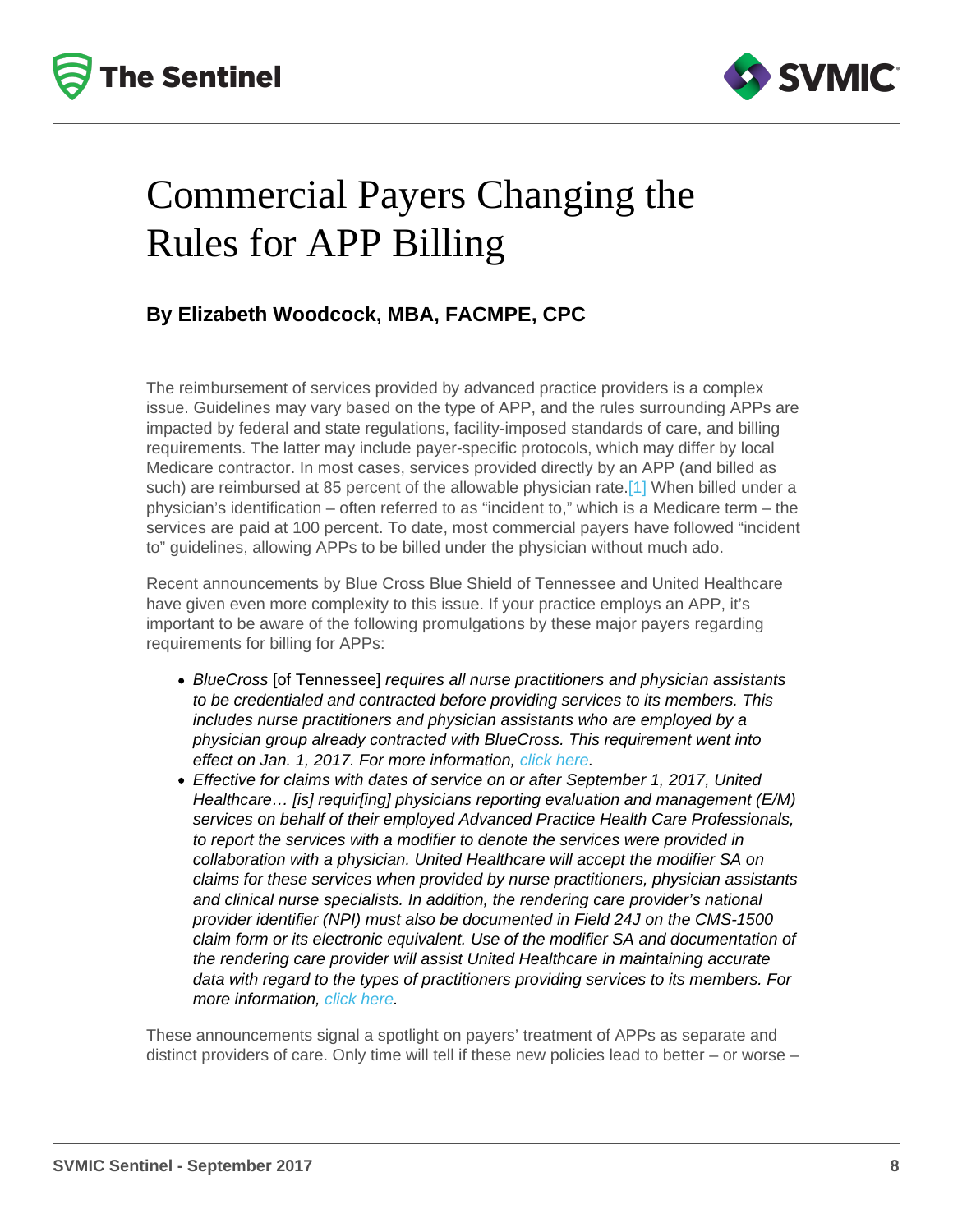# <span id="page-7-0"></span>Commercial Payers Changing the Rules for APP Billing

#### By Elizabeth Woodcock, MBA, FACMPE, CPC

The reimbursement of services provided by advanced practice providers is a complex issue. Guidelines may vary based on the type of APP, and the rules surrounding APPs are impacted by federal and state regulations, facility-imposed standards of care, and billing requirements. The latter may include payer-specific protocols, which may differ by local Medicare contractor. In most cases, services provided directly by an APP (and billed as such) are reimbursed at 85 percent of the allowable physician rate.<sup>[1]</sup> When billed under a physician's identification – often referred to as "incident to," which is a Medicare term – the services are paid at 100 percent. To date, most commercial payers have followed "incident to" guidelines, allowing APPs to be billed under the physician without much ado.

Recent announcements by Blue Cross Blue Shield of Tennessee and United Healthcare have given even more complexity to this issue. If your practice employs an APP, it's important to be aware of the following promulgations by these major payers regarding requirements for billing for APPs:

- BlueCross [of Tennessee] requires all nurse practitioners and physician assistants to be credentialed and contracted before providing services to its members. This includes nurse practitioners and physician assistants who are employed by a physician group already contracted with BlueCross. This requirement went into effect on Jan. 1, 2017. For more information, [click here](http://www.bcbst.com/providers/bluealert/index.page).
- Effective for claims with dates of service on or after September 1, 2017, United Healthcare… [is] requir[ing] physicians reporting evaluation and management (E/M) services on behalf of their employed Advanced Practice Health Care Professionals, to report the services with a modifier to denote the services were provided in collaboration with a physician. United Healthcare will accept the modifier SA on claims for these services when provided by nurse practitioners, physician assistants and clinical nurse specialists. In addition, the rendering care provider's national provider identifier (NPI) must also be documented in Field 24J on the CMS-1500 claim form or its electronic equivalent. Use of the modifier SA and documentation of the rendering care provider will assist United Healthcare in maintaining accurate data with regard to the types of practitioners providing services to its members. For more information, [click here.](https://www.unitedhealthcareonline.com/ccmcontent/ProviderII/UHC/en-US/Assets/ProviderStaticFiles/ProviderStaticFilesPdf/News/June-Interactive-Network-Bulletin-2017.pdf)

These announcements signal a spotlight on payers' treatment of APPs as separate and distinct providers of care. Only time will tell if these new policies lead to better – or worse –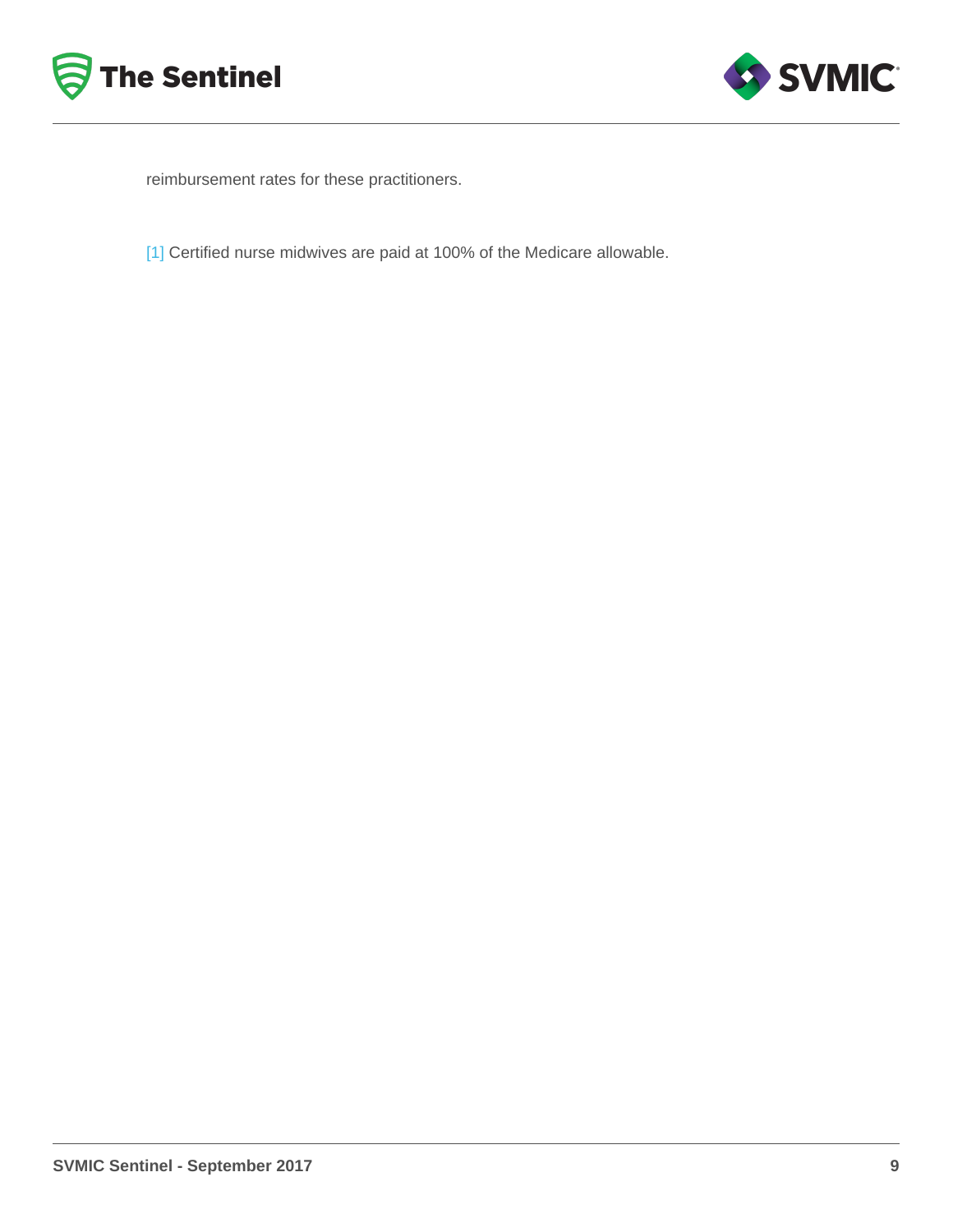<span id="page-8-0"></span>reimbursement rates for these practitioners.

[\[1\]](#page-7-0) Certified nurse midwives are paid at 100% of the Medicare allowable.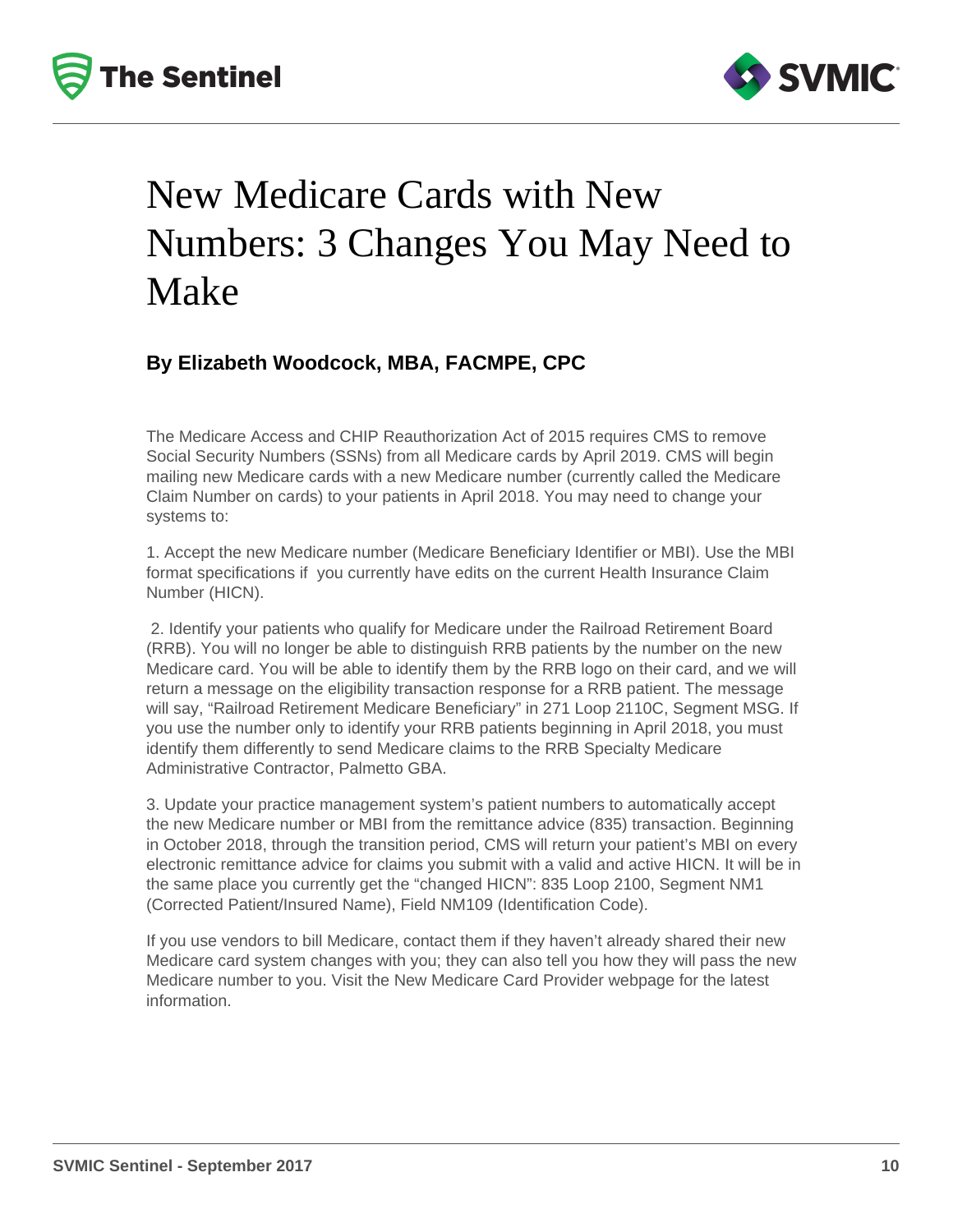



## New Medicare Cards with New Numbers: 3 Changes You May Need to Make

#### **By Elizabeth Woodcock, MBA, FACMPE, CPC**

The Medicare Access and CHIP Reauthorization Act of 2015 requires CMS to remove Social Security Numbers (SSNs) from all Medicare cards by April 2019. CMS will begin mailing new Medicare cards with a new Medicare number (currently called the Medicare Claim Number on cards) to your patients in April 2018. You may need to change your systems to:

1. Accept the new Medicare number (Medicare Beneficiary Identifier or MBI). Use the MBI format specifications if you currently have edits on the current Health Insurance Claim Number (HICN).

 2. Identify your patients who qualify for Medicare under the Railroad Retirement Board (RRB). You will no longer be able to distinguish RRB patients by the number on the new Medicare card. You will be able to identify them by the RRB logo on their card, and we will return a message on the eligibility transaction response for a RRB patient. The message will say, "Railroad Retirement Medicare Beneficiary" in 271 Loop 2110C, Segment MSG. If you use the number only to identify your RRB patients beginning in April 2018, you must identify them differently to send Medicare claims to the RRB Specialty Medicare Administrative Contractor, Palmetto GBA.

3. Update your practice management system's patient numbers to automatically accept the new Medicare number or MBI from the remittance advice (835) transaction. Beginning in October 2018, through the transition period, CMS will return your patient's MBI on every electronic remittance advice for claims you submit with a valid and active HICN. It will be in the same place you currently get the "changed HICN": 835 Loop 2100, Segment NM1 (Corrected Patient/Insured Name), Field NM109 (Identification Code).

If you use vendors to bill Medicare, contact them if they haven't already shared their new Medicare card system changes with you; they can also tell you how they will pass the new Medicare number to you. Visit the New Medicare Card Provider webpage for the latest information.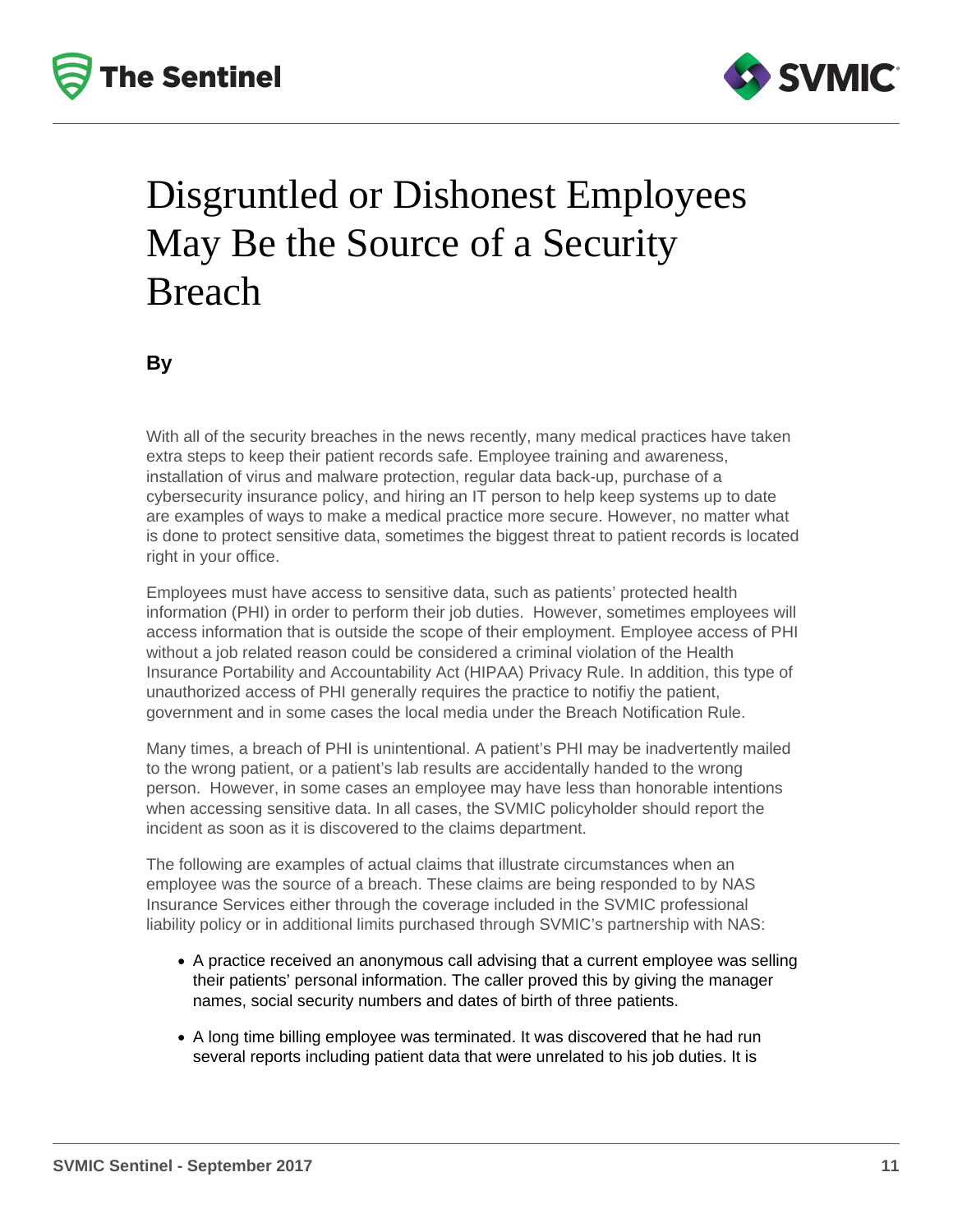



## Disgruntled or Dishonest Employees May Be the Source of a Security Breach

**By**

With all of the security breaches in the news recently, many medical practices have taken extra steps to keep their patient records safe. Employee training and awareness, installation of virus and malware protection, regular data back-up, purchase of a cybersecurity insurance policy, and hiring an IT person to help keep systems up to date are examples of ways to make a medical practice more secure. However, no matter what is done to protect sensitive data, sometimes the biggest threat to patient records is located right in your office.

Employees must have access to sensitive data, such as patients' protected health information (PHI) in order to perform their job duties. However, sometimes employees will access information that is outside the scope of their employment. Employee access of PHI without a job related reason could be considered a criminal violation of the Health Insurance Portability and Accountability Act (HIPAA) Privacy Rule. In addition, this type of unauthorized access of PHI generally requires the practice to notifiy the patient, government and in some cases the local media under the Breach Notification Rule.

Many times, a breach of PHI is unintentional. A patient's PHI may be inadvertently mailed to the wrong patient, or a patient's lab results are accidentally handed to the wrong person. However, in some cases an employee may have less than honorable intentions when accessing sensitive data. In all cases, the SVMIC policyholder should report the incident as soon as it is discovered to the claims department.

The following are examples of actual claims that illustrate circumstances when an employee was the source of a breach. These claims are being responded to by NAS Insurance Services either through the coverage included in the SVMIC professional liability policy or in additional limits purchased through SVMIC's partnership with NAS:

- A practice received an anonymous call advising that a current employee was selling their patients' personal information. The caller proved this by giving the manager names, social security numbers and dates of birth of three patients.
- A long time billing employee was terminated. It was discovered that he had run several reports including patient data that were unrelated to his job duties. It is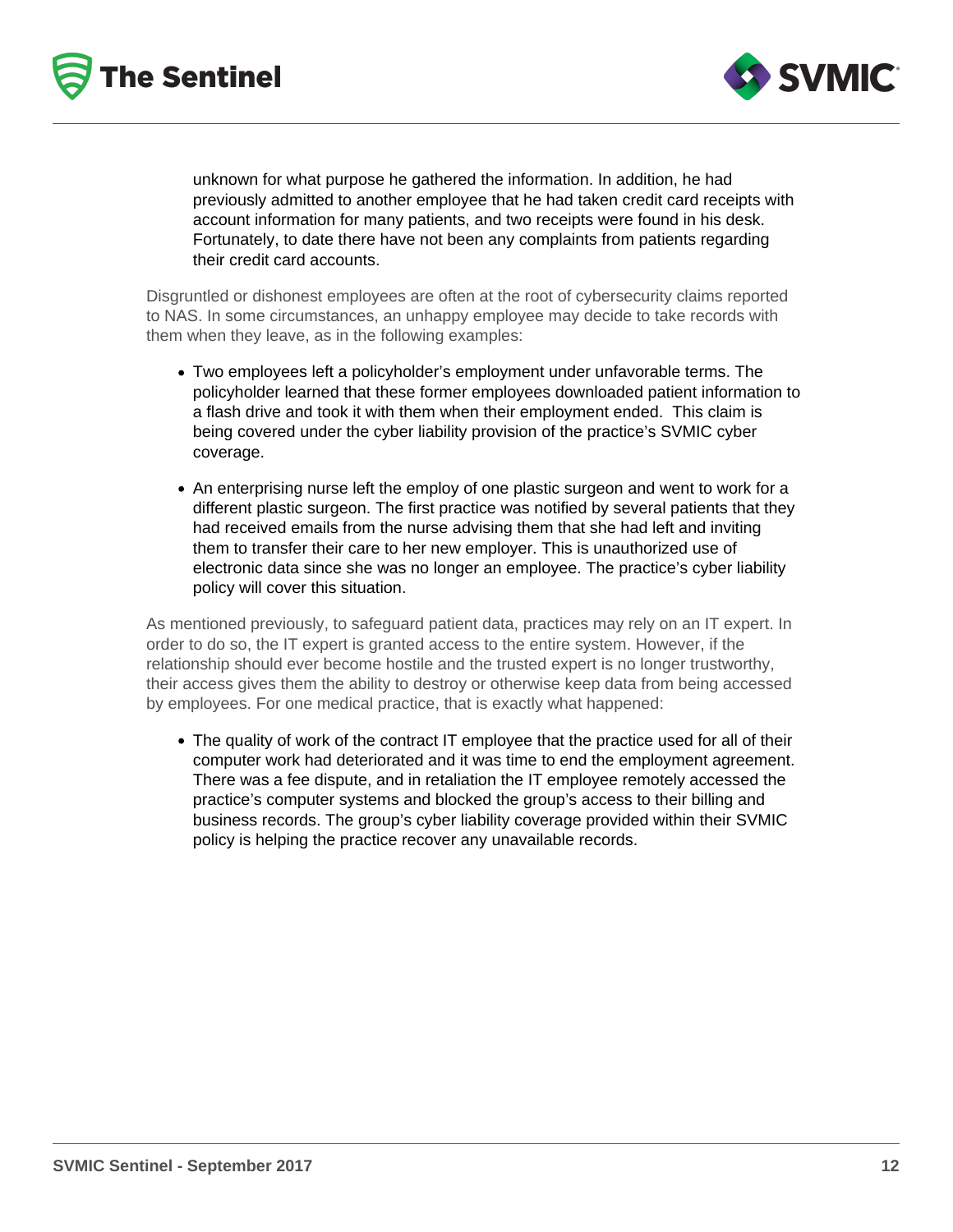



unknown for what purpose he gathered the information. In addition, he had previously admitted to another employee that he had taken credit card receipts with account information for many patients, and two receipts were found in his desk. Fortunately, to date there have not been any complaints from patients regarding their credit card accounts.

Disgruntled or dishonest employees are often at the root of cybersecurity claims reported to NAS. In some circumstances, an unhappy employee may decide to take records with them when they leave, as in the following examples:

- Two employees left a policyholder's employment under unfavorable terms. The policyholder learned that these former employees downloaded patient information to a flash drive and took it with them when their employment ended. This claim is being covered under the cyber liability provision of the practice's SVMIC cyber coverage.
- An enterprising nurse left the employ of one plastic surgeon and went to work for a different plastic surgeon. The first practice was notified by several patients that they had received emails from the nurse advising them that she had left and inviting them to transfer their care to her new employer. This is unauthorized use of electronic data since she was no longer an employee. The practice's cyber liability policy will cover this situation.

As mentioned previously, to safeguard patient data, practices may rely on an IT expert. In order to do so, the IT expert is granted access to the entire system. However, if the relationship should ever become hostile and the trusted expert is no longer trustworthy, their access gives them the ability to destroy or otherwise keep data from being accessed by employees. For one medical practice, that is exactly what happened:

• The quality of work of the contract IT employee that the practice used for all of their computer work had deteriorated and it was time to end the employment agreement. There was a fee dispute, and in retaliation the IT employee remotely accessed the practice's computer systems and blocked the group's access to their billing and business records. The group's cyber liability coverage provided within their SVMIC policy is helping the practice recover any unavailable records.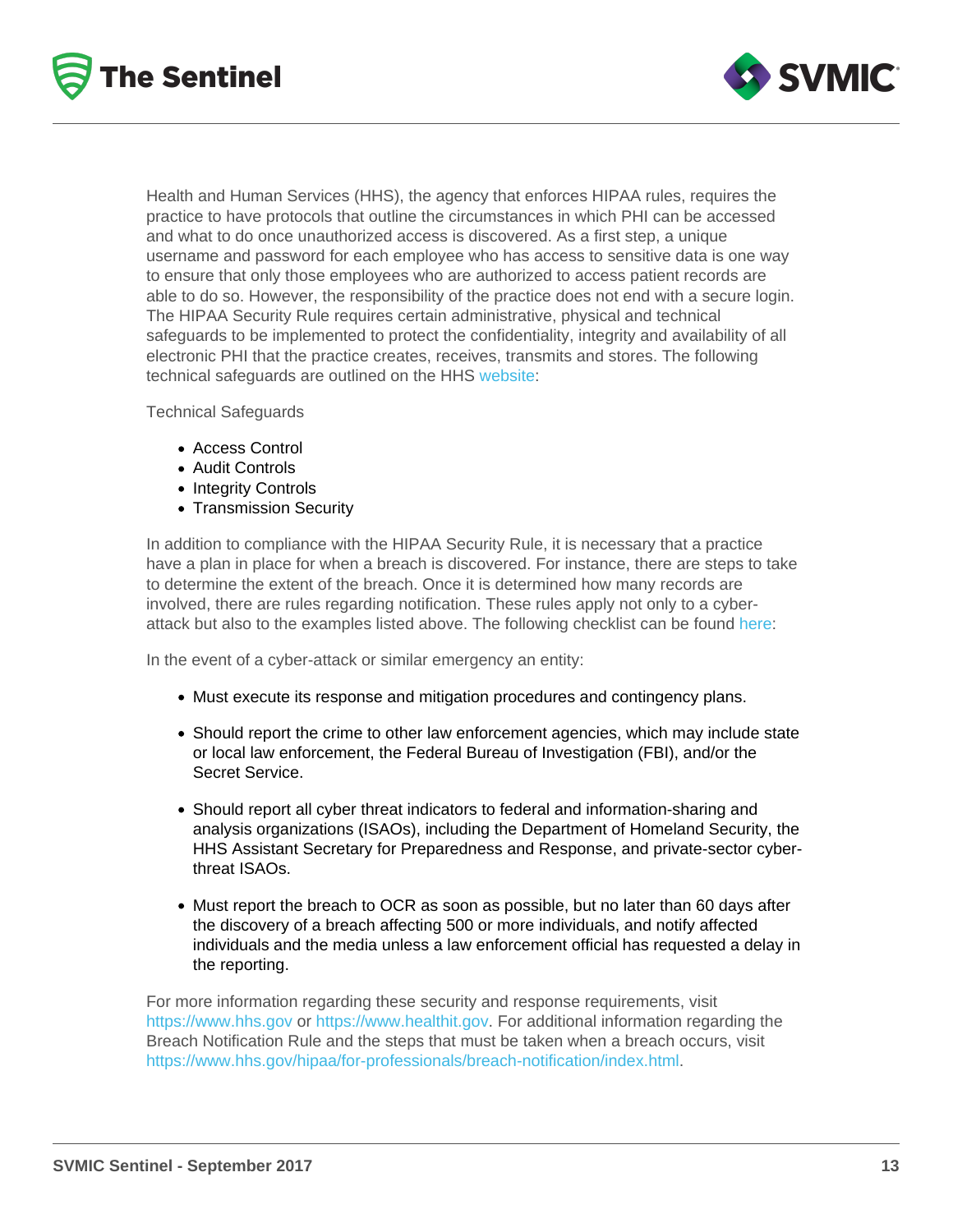Health and Human Services (HHS), the agency that enforces HIPAA rules, requires the practice to have protocols that outline the circumstances in which PHI can be accessed and what to do once unauthorized access is discovered. As a first step, a unique username and password for each employee who has access to sensitive data is one way to ensure that only those employees who are authorized to access patient records are able to do so. However, the responsibility of the practice does not end with a secure login. The HIPAA Security Rule requires certain administrative, physical and technical safeguards to be implemented to protect the confidentiality, integrity and availability of all electronic PHI that the practice creates, receives, transmits and stores. The following technical safeguards are outlined on the HHS [website:](https://www.hhs.gov/hipaa/for-professionals/security/laws-regulations/index.html)

Technical Safeguards

- Access Control
- Audit Controls
- Integrity Controls
- Transmission Security

In addition to compliance with the HIPAA Security Rule, it is necessary that a practice have a plan in place for when a breach is discovered. For instance, there are steps to take to determine the extent of the breach. Once it is determined how many records are involved, there are rules regarding notification. These rules apply not only to a cyberattack but also to the examples listed above. The following checklist can be found [here](https://www.hhs.gov/sites/default/files/cyber-attack-checklist-06-2017.pdf):

In the event of a cyber-attack or similar emergency an entity:

- Must execute its response and mitigation procedures and contingency plans.
- Should report the crime to other law enforcement agencies, which may include state or local law enforcement, the Federal Bureau of Investigation (FBI), and/or the Secret Service.
- Should report all cyber threat indicators to federal and information-sharing and analysis organizations (ISAOs), including the Department of Homeland Security, the HHS Assistant Secretary for Preparedness and Response, and private-sector cyberthreat ISAOs.
- Must report the breach to OCR as soon as possible, but no later than 60 days after the discovery of a breach affecting 500 or more individuals, and notify affected individuals and the media unless a law enforcement official has requested a delay in the reporting.

For more information regarding these security and response requirements, visit <https://www.hhs.gov>or<https://www.healthit.gov>. For additional information regarding the Breach Notification Rule and the steps that must be taken when a breach occurs, visit [https://www.hhs.gov/hipaa/for-professionals/breach-notification/index.html.](https://www.hhs.gov/hipaa/for-professionals/breach-notification/index.html)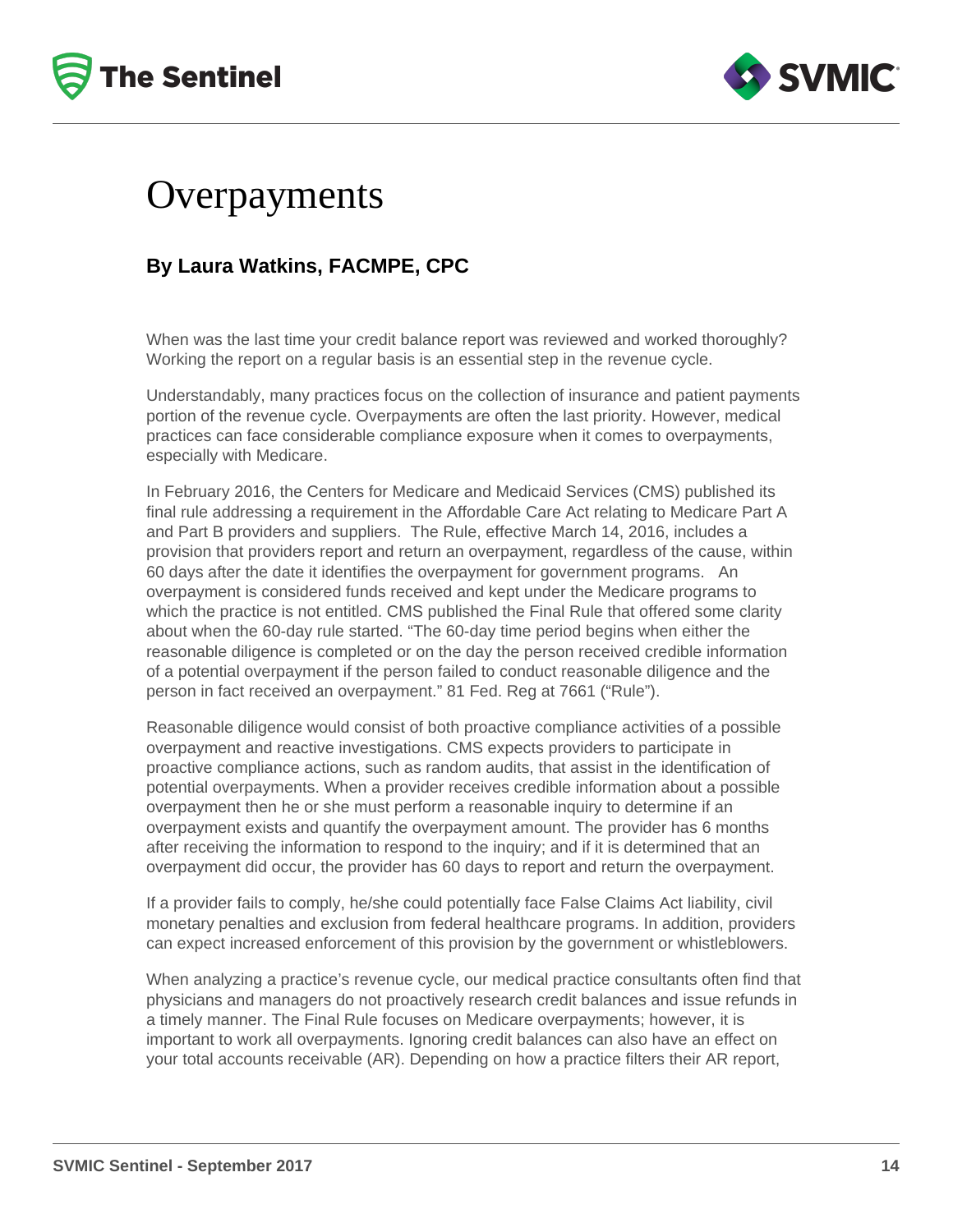



### Overpayments

#### **By Laura Watkins, FACMPE, CPC**

When was the last time your credit balance report was reviewed and worked thoroughly? Working the report on a regular basis is an essential step in the revenue cycle.

Understandably, many practices focus on the collection of insurance and patient payments portion of the revenue cycle. Overpayments are often the last priority. However, medical practices can face considerable compliance exposure when it comes to overpayments, especially with Medicare.

In February 2016, the Centers for Medicare and Medicaid Services (CMS) published its final rule addressing a requirement in the Affordable Care Act relating to Medicare Part A and Part B providers and suppliers. The Rule, effective March 14, 2016, includes a provision that providers report and return an overpayment, regardless of the cause, within 60 days after the date it identifies the overpayment for government programs. An overpayment is considered funds received and kept under the Medicare programs to which the practice is not entitled. CMS published the Final Rule that offered some clarity about when the 60-day rule started. "The 60-day time period begins when either the reasonable diligence is completed or on the day the person received credible information of a potential overpayment if the person failed to conduct reasonable diligence and the person in fact received an overpayment." 81 Fed. Reg at 7661 ("Rule").

Reasonable diligence would consist of both proactive compliance activities of a possible overpayment and reactive investigations. CMS expects providers to participate in proactive compliance actions, such as random audits, that assist in the identification of potential overpayments. When a provider receives credible information about a possible overpayment then he or she must perform a reasonable inquiry to determine if an overpayment exists and quantify the overpayment amount. The provider has 6 months after receiving the information to respond to the inquiry; and if it is determined that an overpayment did occur, the provider has 60 days to report and return the overpayment.

If a provider fails to comply, he/she could potentially face False Claims Act liability, civil monetary penalties and exclusion from federal healthcare programs. In addition, providers can expect increased enforcement of this provision by the government or whistleblowers.

When analyzing a practice's revenue cycle, our medical practice consultants often find that physicians and managers do not proactively research credit balances and issue refunds in a timely manner. The Final Rule focuses on Medicare overpayments; however, it is important to work all overpayments. Ignoring credit balances can also have an effect on your total accounts receivable (AR). Depending on how a practice filters their AR report,